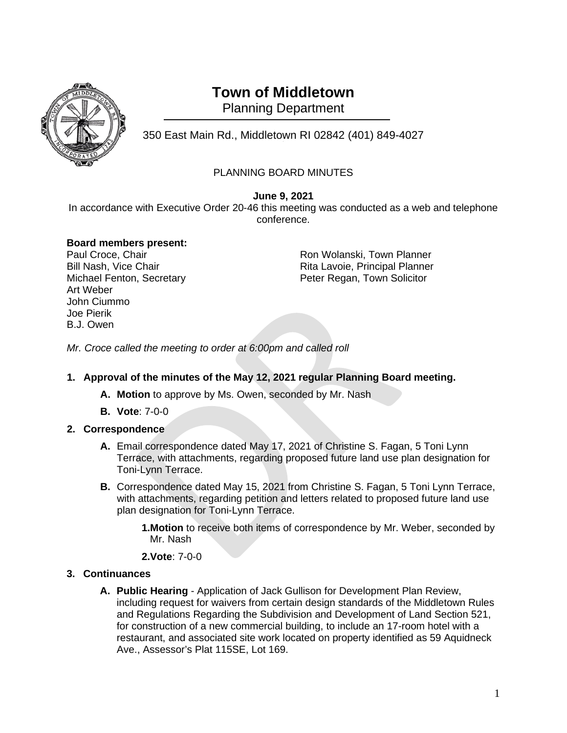

# **Town of Middletown**

Planning Department

350 East Main Rd., Middletown RI 02842 (401) 849-4027 <sup>1</sup>

## PLANNING BOARD MINUTES

**June 9, 2021**

In accordance with Executive Order 20-46 this meeting was conducted as a web and telephone conference.

#### **Board members present:**

Art Weber John Ciummo Joe Pierik B.J. Owen

Paul Croce, Chair **Paul Croce, Chair** Paul Croce, Chair Ron Wolanski, Town Planner<br>Rita Lavoie, Principal Planner Rita Lavoie, Principal Planner Michael Fenton, Secretary **Peter Regan, Town Solicitor** Peter Regan, Town Solicitor

*Mr. Croce called the meeting to order at 6:00pm and called roll*

### **1. Approval of the minutes of the May 12, 2021 regular Planning Board meeting.**

- **A. Motion** to approve by Ms. Owen, seconded by Mr. Nash
- **B. Vote**: 7-0-0

### **2. Correspondence**

- **A.** Email correspondence dated May 17, 2021 of Christine S. Fagan, 5 Toni Lynn Terrace, with attachments, regarding proposed future land use plan designation for Toni-Lynn Terrace.
- **B.** Correspondence dated May 15, 2021 from Christine S. Fagan, 5 Toni Lynn Terrace, with attachments, regarding petition and letters related to proposed future land use plan designation for Toni-Lynn Terrace.

**1.Motion** to receive both items of correspondence by Mr. Weber, seconded by Mr. Nash

**2.Vote**: 7-0-0

### **3. Continuances**

**A. Public Hearing** - Application of Jack Gullison for Development Plan Review, including request for waivers from certain design standards of the Middletown Rules and Regulations Regarding the Subdivision and Development of Land Section 521, for construction of a new commercial building, to include an 17-room hotel with a restaurant, and associated site work located on property identified as 59 Aquidneck Ave., Assessor's Plat 115SE, Lot 169.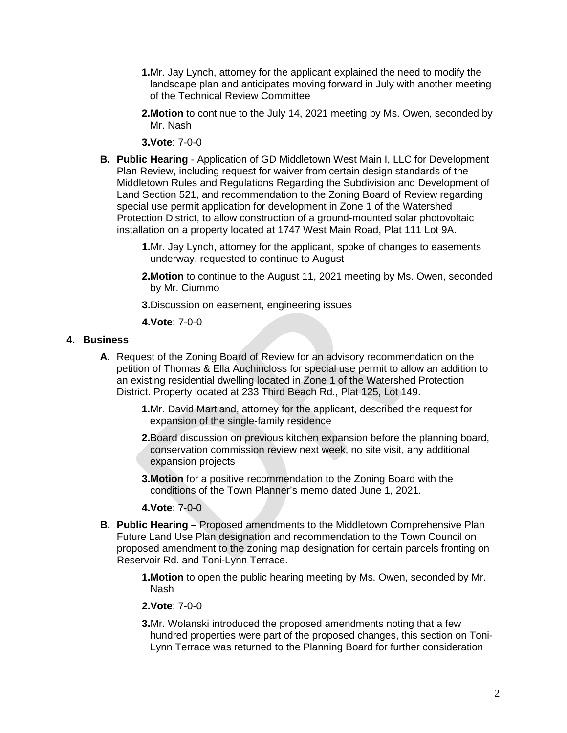- **1.**Mr. Jay Lynch, attorney for the applicant explained the need to modify the landscape plan and anticipates moving forward in July with another meeting of the Technical Review Committee
- **2.Motion** to continue to the July 14, 2021 meeting by Ms. Owen, seconded by Mr. Nash

**3.Vote**: 7-0-0

- **B. Public Hearing** Application of GD Middletown West Main I, LLC for Development Plan Review, including request for waiver from certain design standards of the Middletown Rules and Regulations Regarding the Subdivision and Development of Land Section 521, and recommendation to the Zoning Board of Review regarding special use permit application for development in Zone 1 of the Watershed Protection District, to allow construction of a ground-mounted solar photovoltaic installation on a property located at 1747 West Main Road, Plat 111 Lot 9A.
	- **1.**Mr. Jay Lynch, attorney for the applicant, spoke of changes to easements underway, requested to continue to August
	- **2.Motion** to continue to the August 11, 2021 meeting by Ms. Owen, seconded by Mr. Ciummo
	- **3.**Discussion on easement, engineering issues

**4.Vote**: 7-0-0

#### **4. Business**

- **A.** Request of the Zoning Board of Review for an advisory recommendation on the petition of Thomas & Ella Auchincloss for special use permit to allow an addition to an existing residential dwelling located in Zone 1 of the Watershed Protection District. Property located at 233 Third Beach Rd., Plat 125, Lot 149.
	- **1.**Mr. David Martland, attorney for the applicant, described the request for expansion of the single-family residence
	- **2.**Board discussion on previous kitchen expansion before the planning board, conservation commission review next week, no site visit, any additional expansion projects
	- **3.Motion** for a positive recommendation to the Zoning Board with the conditions of the Town Planner's memo dated June 1, 2021.

**4.Vote**: 7-0-0

- **B. Public Hearing –** Proposed amendments to the Middletown Comprehensive Plan Future Land Use Plan designation and recommendation to the Town Council on proposed amendment to the zoning map designation for certain parcels fronting on Reservoir Rd. and Toni-Lynn Terrace.
	- **1.Motion** to open the public hearing meeting by Ms. Owen, seconded by Mr. Nash

**2.Vote**: 7-0-0

**3.**Mr. Wolanski introduced the proposed amendments noting that a few hundred properties were part of the proposed changes, this section on Toni-Lynn Terrace was returned to the Planning Board for further consideration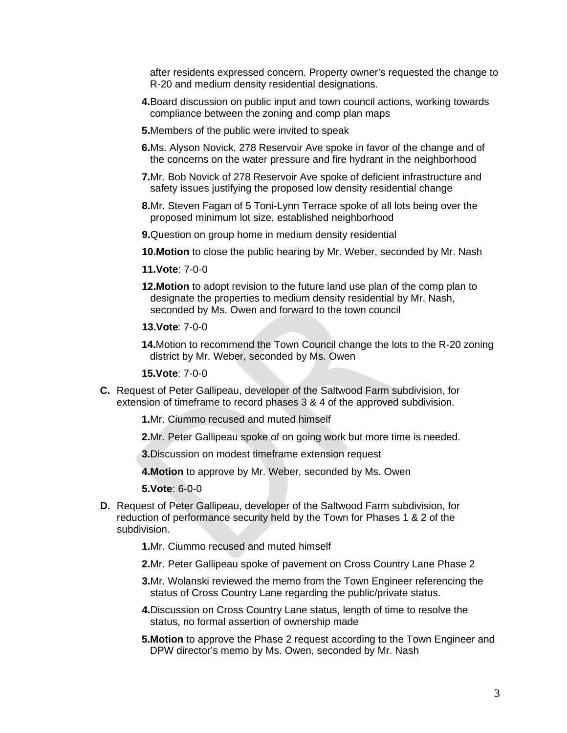after residents expressed concern. Property owner's requested the change to R-20 and medium density residential designations.

- **4.**Board discussion on public input and town council actions, working towards compliance between the zoning and comp plan maps
- **5.**Members of the public were invited to speak
- **6.**Ms. Alyson Novick, 278 Reservoir Ave spoke in favor of the change and of the concerns on the water pressure and fire hydrant in the neighborhood
- **7.**Mr. Bob Novick of 278 Reservoir Ave spoke of deficient infrastructure and safety issues justifying the proposed low density residential change
- **8.**Mr. Steven Fagan of 5 Toni-Lynn Terrace spoke of all lots being over the proposed minimum lot size, established neighborhood
- **9.**Question on group home in medium density residential
- **10.Motion** to close the public hearing by Mr. Weber, seconded by Mr. Nash
- **11.Vote**: 7-0-0
- **12.Motion** to adopt revision to the future land use plan of the comp plan to designate the properties to medium density residential by Mr. Nash, seconded by Ms. Owen and forward to the town council
- **13.Vote**: 7-0-0

**14.**Motion to recommend the Town Council change the lots to the R-20 zoning district by Mr. Weber, seconded by Ms. Owen

**15.Vote**: 7-0-0

- **C.** Request of Peter Gallipeau, developer of the Saltwood Farm subdivision, for extension of timeframe to record phases 3 & 4 of the approved subdivision.
	- **1.**Mr. Ciummo recused and muted himself
	- **2.**Mr. Peter Gallipeau spoke of on going work but more time is needed.
	- **3.**Discussion on modest timeframe extension request
	- **4.Motion** to approve by Mr. Weber, seconded by Ms. Owen

**5.Vote**: 6-0-0

**D.** Request of Peter Gallipeau, developer of the Saltwood Farm subdivision, for reduction of performance security held by the Town for Phases 1 & 2 of the subdivision.

**1.**Mr. Ciummo recused and muted himself

- **2.**Mr. Peter Gallipeau spoke of pavement on Cross Country Lane Phase 2
- **3.**Mr. Wolanski reviewed the memo from the Town Engineer referencing the status of Cross Country Lane regarding the public/private status.
- **4.**Discussion on Cross Country Lane status, length of time to resolve the status, no formal assertion of ownership made
- **5.Motion** to approve the Phase 2 request according to the Town Engineer and DPW director's memo by Ms. Owen, seconded by Mr. Nash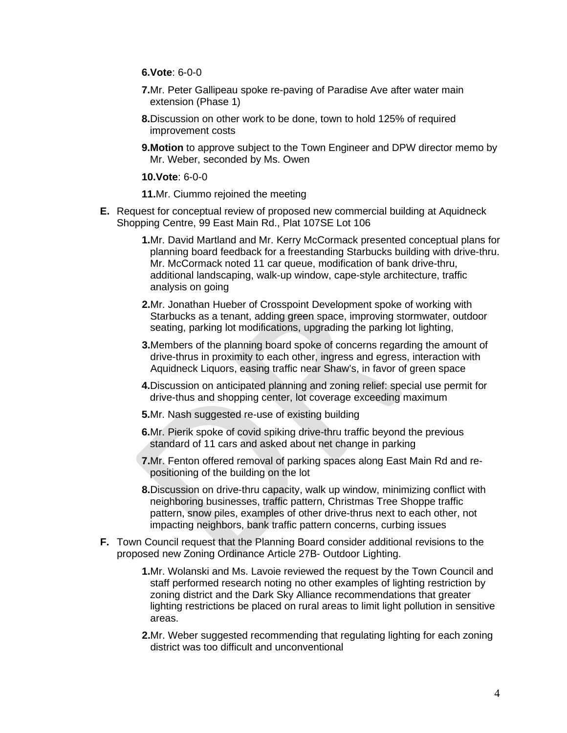**6.Vote**: 6-0-0

- **7.**Mr. Peter Gallipeau spoke re-paving of Paradise Ave after water main extension (Phase 1)
- **8.**Discussion on other work to be done, town to hold 125% of required improvement costs
- **9. Motion** to approve subject to the Town Engineer and DPW director memo by Mr. Weber, seconded by Ms. Owen

**10.Vote**: 6-0-0

**11.**Mr. Ciummo rejoined the meeting

- **E.** Request for conceptual review of proposed new commercial building at Aquidneck Shopping Centre, 99 East Main Rd., Plat 107SE Lot 106
	- **1.**Mr. David Martland and Mr. Kerry McCormack presented conceptual plans for planning board feedback for a freestanding Starbucks building with drive-thru. Mr. McCormack noted 11 car queue, modification of bank drive-thru, additional landscaping, walk-up window, cape-style architecture, traffic analysis on going
	- **2.**Mr. Jonathan Hueber of Crosspoint Development spoke of working with Starbucks as a tenant, adding green space, improving stormwater, outdoor seating, parking lot modifications, upgrading the parking lot lighting,
	- **3.**Members of the planning board spoke of concerns regarding the amount of drive-thrus in proximity to each other, ingress and egress, interaction with Aquidneck Liquors, easing traffic near Shaw's, in favor of green space
	- **4.**Discussion on anticipated planning and zoning relief: special use permit for drive-thus and shopping center, lot coverage exceeding maximum
	- **5.**Mr. Nash suggested re-use of existing building
	- **6.**Mr. Pierik spoke of covid spiking drive-thru traffic beyond the previous standard of 11 cars and asked about net change in parking
	- **7.**Mr. Fenton offered removal of parking spaces along East Main Rd and repositioning of the building on the lot
	- **8.**Discussion on drive-thru capacity, walk up window, minimizing conflict with neighboring businesses, traffic pattern, Christmas Tree Shoppe traffic pattern, snow piles, examples of other drive-thrus next to each other, not impacting neighbors, bank traffic pattern concerns, curbing issues
- **F.** Town Council request that the Planning Board consider additional revisions to the proposed new Zoning Ordinance Article 27B- Outdoor Lighting.
	- **1.**Mr. Wolanski and Ms. Lavoie reviewed the request by the Town Council and staff performed research noting no other examples of lighting restriction by zoning district and the Dark Sky Alliance recommendations that greater lighting restrictions be placed on rural areas to limit light pollution in sensitive areas.
	- **2.**Mr. Weber suggested recommending that regulating lighting for each zoning district was too difficult and unconventional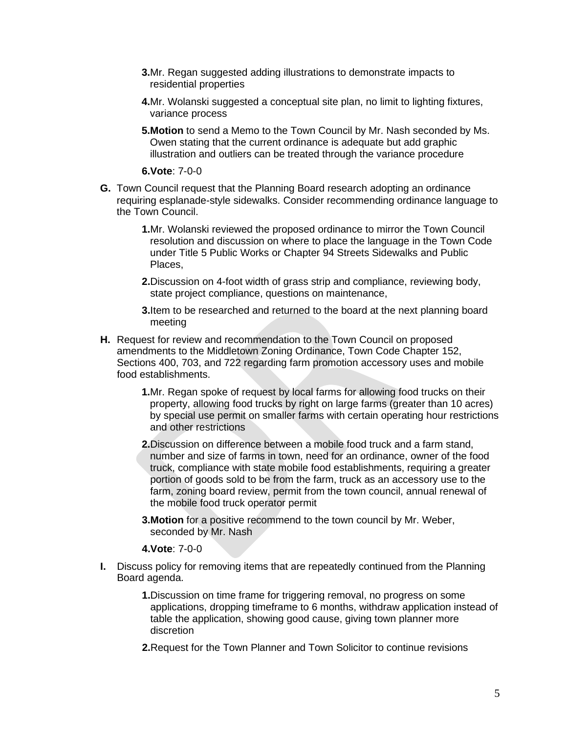- **3.**Mr. Regan suggested adding illustrations to demonstrate impacts to residential properties
- **4.**Mr. Wolanski suggested a conceptual site plan, no limit to lighting fixtures, variance process
- **5.Motion** to send a Memo to the Town Council by Mr. Nash seconded by Ms. Owen stating that the current ordinance is adequate but add graphic illustration and outliers can be treated through the variance procedure

**6.Vote**: 7-0-0

- **G.** Town Council request that the Planning Board research adopting an ordinance requiring esplanade-style sidewalks. Consider recommending ordinance language to the Town Council.
	- **1.**Mr. Wolanski reviewed the proposed ordinance to mirror the Town Council resolution and discussion on where to place the language in the Town Code under Title 5 Public Works or Chapter 94 Streets Sidewalks and Public Places,
	- **2.**Discussion on 4-foot width of grass strip and compliance, reviewing body, state project compliance, questions on maintenance,

**3.**Item to be researched and returned to the board at the next planning board meeting

- **H.** Request for review and recommendation to the Town Council on proposed amendments to the Middletown Zoning Ordinance, Town Code Chapter 152, Sections 400, 703, and 722 regarding farm promotion accessory uses and mobile food establishments.
	- **1.**Mr. Regan spoke of request by local farms for allowing food trucks on their property, allowing food trucks by right on large farms (greater than 10 acres) by special use permit on smaller farms with certain operating hour restrictions and other restrictions
	- **2.**Discussion on difference between a mobile food truck and a farm stand, number and size of farms in town, need for an ordinance, owner of the food truck, compliance with state mobile food establishments, requiring a greater portion of goods sold to be from the farm, truck as an accessory use to the farm, zoning board review, permit from the town council, annual renewal of the mobile food truck operator permit
	- **3.Motion** for a positive recommend to the town council by Mr. Weber, seconded by Mr. Nash

**4.Vote**: 7-0-0

- **I.** Discuss policy for removing items that are repeatedly continued from the Planning Board agenda.
	- **1.**Discussion on time frame for triggering removal, no progress on some applications, dropping timeframe to 6 months, withdraw application instead of table the application, showing good cause, giving town planner more discretion
	- **2.**Request for the Town Planner and Town Solicitor to continue revisions